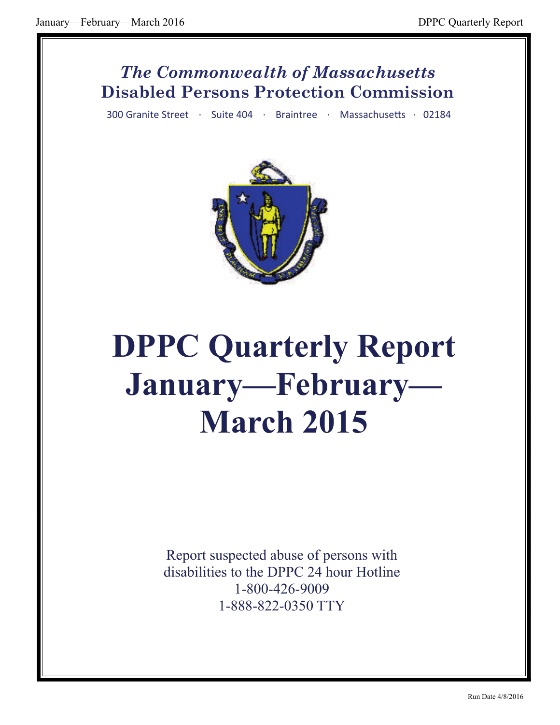#### *The Commonwealth of Massachusetts* **Disabled Persons Protection Commission**

300 Granite Street · Suite 404 · Braintree · Massachusetts · 02184



# **DPPC Quarterly Report January—February— March 2015**

Report suspected abuse of persons with disabilities to the DPPC 24 hour Hotline 1-800-426-9009 1-888-822-0350 TTY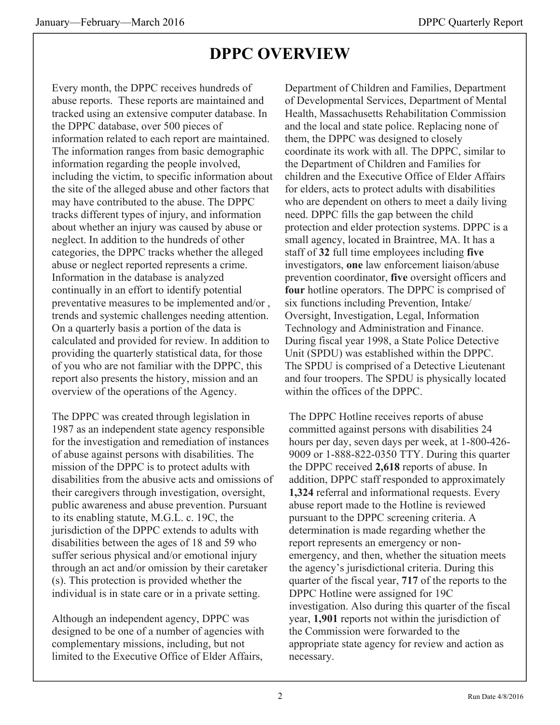# **DPPC OVERVIEW**

Every month, the DPPC receives hundreds of abuse reports. These reports are maintained and tracked using an extensive computer database. In the DPPC database, over 500 pieces of information related to each report are maintained. The information ranges from basic demographic information regarding the people involved, including the victim, to specific information about the site of the alleged abuse and other factors that may have contributed to the abuse. The DPPC tracks different types of injury, and information about whether an injury was caused by abuse or neglect. In addition to the hundreds of other categories, the DPPC tracks whether the alleged abuse or neglect reported represents a crime. Information in the database is analyzed continually in an effort to identify potential preventative measures to be implemented and/or , trends and systemic challenges needing attention. On a quarterly basis a portion of the data is calculated and provided for review. In addition to providing the quarterly statistical data, for those of you who are not familiar with the DPPC, this report also presents the history, mission and an overview of the operations of the Agency.

The DPPC was created through legislation in 1987 as an independent state agency responsible for the investigation and remediation of instances of abuse against persons with disabilities. The mission of the DPPC is to protect adults with disabilities from the abusive acts and omissions of their caregivers through investigation, oversight, public awareness and abuse prevention. Pursuant to its enabling statute, M.G.L. c. 19C, the jurisdiction of the DPPC extends to adults with disabilities between the ages of 18 and 59 who suffer serious physical and/or emotional injury through an act and/or omission by their caretaker (s). This protection is provided whether the individual is in state care or in a private setting.

Although an independent agency, DPPC was designed to be one of a number of agencies with complementary missions, including, but not limited to the Executive Office of Elder Affairs, Department of Children and Families, Department of Developmental Services, Department of Mental Health, Massachusetts Rehabilitation Commission and the local and state police. Replacing none of them, the DPPC was designed to closely coordinate its work with all. The DPPC, similar to the Department of Children and Families for children and the Executive Office of Elder Affairs for elders, acts to protect adults with disabilities who are dependent on others to meet a daily living need. DPPC fills the gap between the child protection and elder protection systems. DPPC is a small agency, located in Braintree, MA. It has a staff of **32** full time employees including **five**  investigators, **one** law enforcement liaison/abuse prevention coordinator, **five** oversight officers and **four** hotline operators. The DPPC is comprised of six functions including Prevention, Intake/ Oversight, Investigation, Legal, Information Technology and Administration and Finance. During fiscal year 1998, a State Police Detective Unit (SPDU) was established within the DPPC. The SPDU is comprised of a Detective Lieutenant and four troopers. The SPDU is physically located within the offices of the DPPC.

The DPPC Hotline receives reports of abuse committed against persons with disabilities 24 hours per day, seven days per week, at 1-800-426- 9009 or 1-888-822-0350 TTY. During this quarter the DPPC received **2,618** reports of abuse. In addition, DPPC staff responded to approximately **1,324** referral and informational requests. Every abuse report made to the Hotline is reviewed pursuant to the DPPC screening criteria. A determination is made regarding whether the report represents an emergency or nonemergency, and then, whether the situation meets the agency's jurisdictional criteria. During this quarter of the fiscal year, **717** of the reports to the DPPC Hotline were assigned for 19C investigation. Also during this quarter of the fiscal year, **1,901** reports not within the jurisdiction of the Commission were forwarded to the appropriate state agency for review and action as necessary.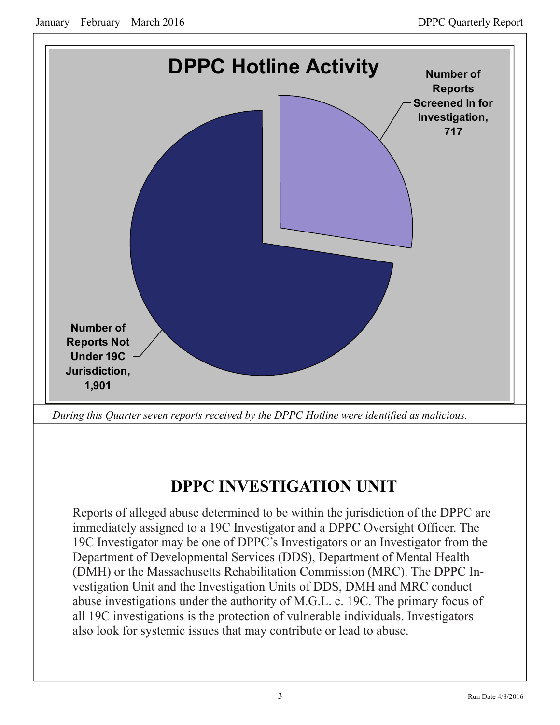

# **DPPC INVESTIGATION UNIT**

Reports of alleged abuse determined to be within the jurisdiction of the DPPC are immediately assigned to a 19C Investigator and a DPPC Oversight Officer. The 19C Investigator may be one of DPPC's Investigators or an Investigator from the Department of Developmental Services (DDS), Department of Mental Health (DMH) or the Massachusetts Rehabilitation Commission (MRC). The DPPC Investigation Unit and the Investigation Units of DDS, DMH and MRC conduct abuse investigations under the authority of M.G.L. c. 19C. The primary focus of all 19C investigations is the protection of vulnerable individuals. Investigators also look for systemic issues that may contribute or lead to abuse.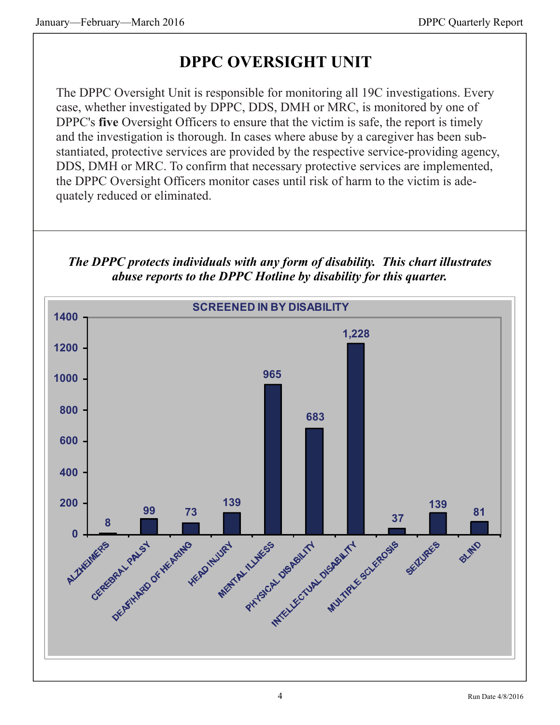# **DPPC OVERSIGHT UNIT**

The DPPC Oversight Unit is responsible for monitoring all 19C investigations. Every case, whether investigated by DPPC, DDS, DMH or MRC, is monitored by one of DPPC's **five** Oversight Officers to ensure that the victim is safe, the report is timely and the investigation is thorough. In cases where abuse by a caregiver has been substantiated, protective services are provided by the respective service-providing agency, DDS, DMH or MRC. To confirm that necessary protective services are implemented, the DPPC Oversight Officers monitor cases until risk of harm to the victim is adequately reduced or eliminated.

*The DPPC protects individuals with any form of disability. This chart illustrates abuse reports to the DPPC Hotline by disability for this quarter.* 

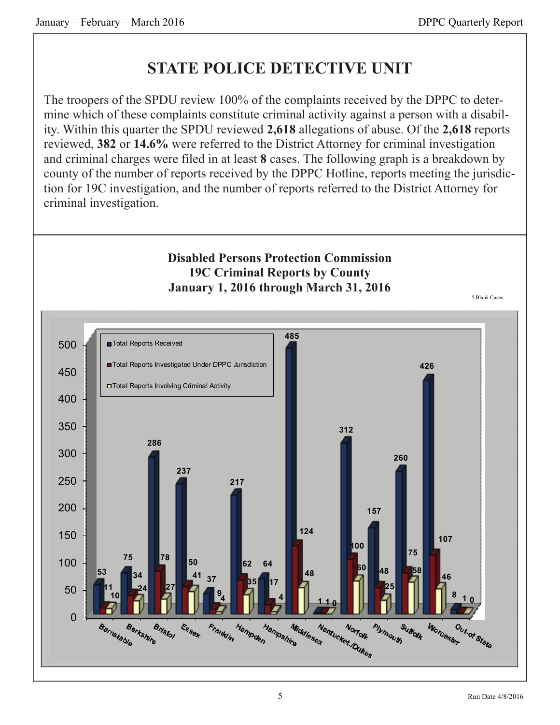# **STATE POLICE DETECTIVE UNIT**

The troopers of the SPDU review 100% of the complaints received by the DPPC to determine which of these complaints constitute criminal activity against a person with a disability. Within this quarter the SPDU reviewed **2,618** allegations of abuse. Of the **2,618** reports reviewed, **382** or **14.6%** were referred to the District Attorney for criminal investigation and criminal charges were filed in at least **8** cases. The following graph is a breakdown by county of the number of reports received by the DPPC Hotline, reports meeting the jurisdiction for 19C investigation, and the number of reports referred to the District Attorney for criminal investigation.



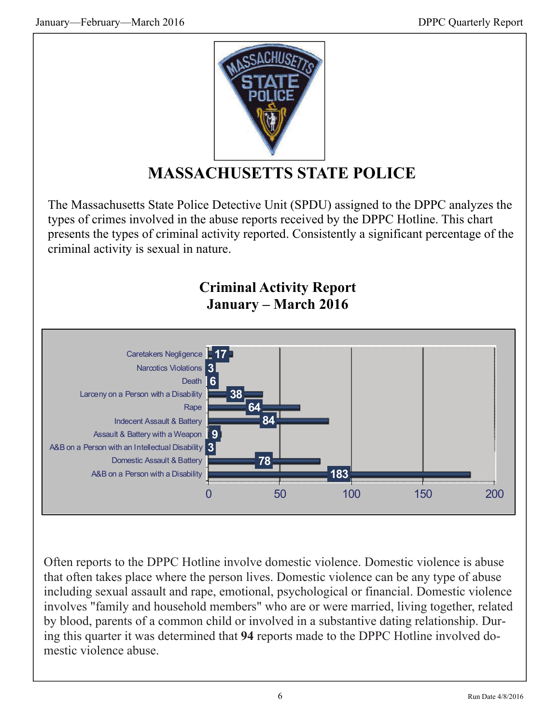

# **MASSACHUSETTS STATE POLICE**

The Massachusetts State Police Detective Unit (SPDU) assigned to the DPPC analyzes the types of crimes involved in the abuse reports received by the DPPC Hotline. This chart presents the types of criminal activity reported. Consistently a significant percentage of the criminal activity is sexual in nature.

#### **Criminal Activity Report January – March 2016**



Often reports to the DPPC Hotline involve domestic violence. Domestic violence is abuse that often takes place where the person lives. Domestic violence can be any type of abuse including sexual assault and rape, emotional, psychological or financial. Domestic violence involves "family and household members" who are or were married, living together, related by blood, parents of a common child or involved in a substantive dating relationship. During this quarter it was determined that **94** reports made to the DPPC Hotline involved domestic violence abuse.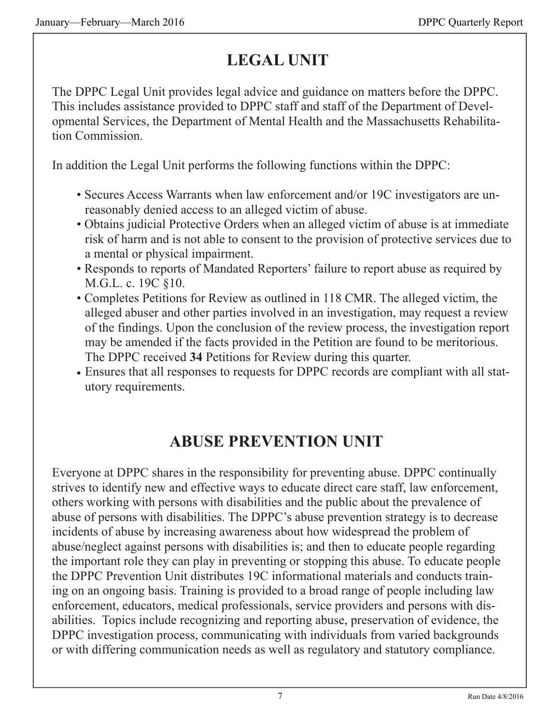# **LEGAL UNIT**

The DPPC Legal Unit provides legal advice and guidance on matters before the DPPC. This includes assistance provided to DPPC staff and staff of the Department of Developmental Services, the Department of Mental Health and the Massachusetts Rehabilitation Commission.

In addition the Legal Unit performs the following functions within the DPPC:

- Secures Access Warrants when law enforcement and/or 19C investigators are unreasonably denied access to an alleged victim of abuse.
- Obtains judicial Protective Orders when an alleged victim of abuse is at immediate risk of harm and is not able to consent to the provision of protective services due to a mental or physical impairment.
- Responds to reports of Mandated Reporters' failure to report abuse as required by M.G.L. c. 19C §10.
- Completes Petitions for Review as outlined in 118 CMR. The alleged victim, the alleged abuser and other parties involved in an investigation, may request a review of the findings. Upon the conclusion of the review process, the investigation report may be amended if the facts provided in the Petition are found to be meritorious. The DPPC received **34** Petitions for Review during this quarter.
- Ensures that all responses to requests for DPPC records are compliant with all statutory requirements.

# **ABUSE PREVENTION UNIT**

Everyone at DPPC shares in the responsibility for preventing abuse. DPPC continually strives to identify new and effective ways to educate direct care staff, law enforcement, others working with persons with disabilities and the public about the prevalence of abuse of persons with disabilities. The DPPC's abuse prevention strategy is to decrease incidents of abuse by increasing awareness about how widespread the problem of abuse/neglect against persons with disabilities is; and then to educate people regarding the important role they can play in preventing or stopping this abuse. To educate people the DPPC Prevention Unit distributes 19C informational materials and conducts training on an ongoing basis. Training is provided to a broad range of people including law enforcement, educators, medical professionals, service providers and persons with disabilities. Topics include recognizing and reporting abuse, preservation of evidence, the DPPC investigation process, communicating with individuals from varied backgrounds or with differing communication needs as well as regulatory and statutory compliance.